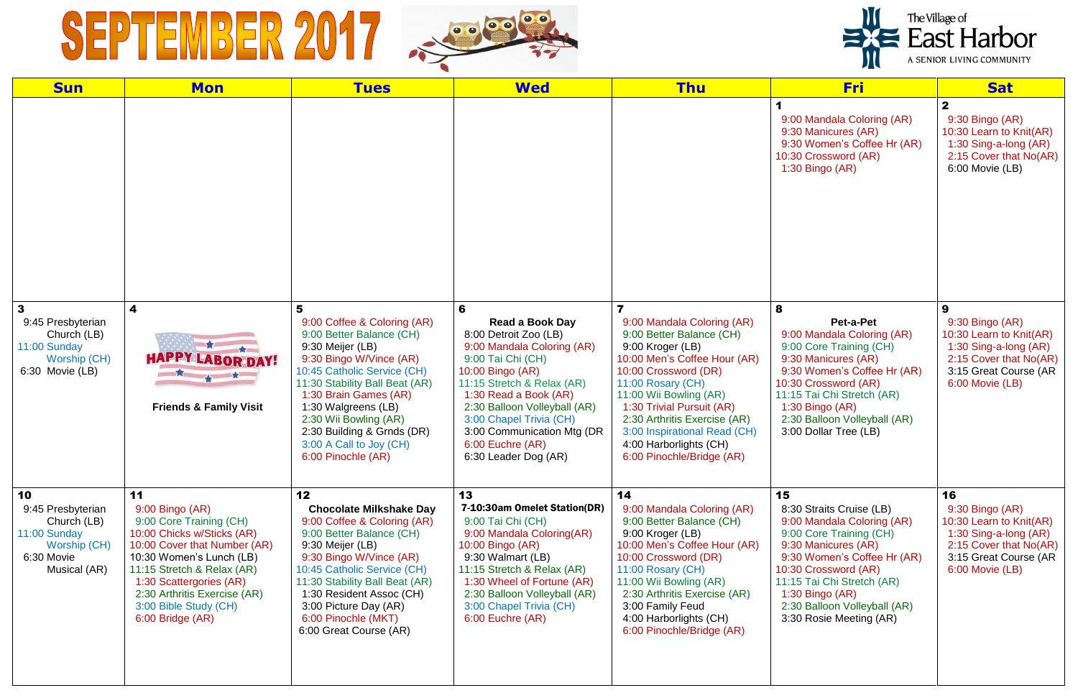## SEPTEMBER 2017 SEPPER



| <b>Sun</b>                                                                                                 | <b>Mon</b>                                                                                                                                                                                                                                                                       | <b>Tues</b>                                                                                                                                                                                                                                                                                                                          | <b>Wed</b>                                                                                                                                                                                                                                                                                                              | <b>Thu</b>                                                                                                                                                                                                                                                                                                                            | <b>Fri</b>                                                                                                                                                                                                                                                                          | <b>Sat</b>                                                                                                                                      |
|------------------------------------------------------------------------------------------------------------|----------------------------------------------------------------------------------------------------------------------------------------------------------------------------------------------------------------------------------------------------------------------------------|--------------------------------------------------------------------------------------------------------------------------------------------------------------------------------------------------------------------------------------------------------------------------------------------------------------------------------------|-------------------------------------------------------------------------------------------------------------------------------------------------------------------------------------------------------------------------------------------------------------------------------------------------------------------------|---------------------------------------------------------------------------------------------------------------------------------------------------------------------------------------------------------------------------------------------------------------------------------------------------------------------------------------|-------------------------------------------------------------------------------------------------------------------------------------------------------------------------------------------------------------------------------------------------------------------------------------|-------------------------------------------------------------------------------------------------------------------------------------------------|
|                                                                                                            |                                                                                                                                                                                                                                                                                  |                                                                                                                                                                                                                                                                                                                                      |                                                                                                                                                                                                                                                                                                                         |                                                                                                                                                                                                                                                                                                                                       | 9:00 Mandala Coloring (AR)<br>9:30 Manicures (AR)<br>9:30 Women's Coffee Hr (AR)<br>10:30 Crossword (AR)<br>$1:30$ Bingo (AR)                                                                                                                                                       | $\mathbf{2}$<br>9:30 Bingo (AR)<br>10:30 Learn to Knit(AR)<br>1:30 Sing-a-long (AR)<br>2:15 Cover that No(AR)<br>6:00 Movie (LB)                |
| $\mathbf{3}$<br>9:45 Presbyterian<br>Church (LB)<br>11:00 Sunday<br><b>Worship (CH)</b><br>6:30 Movie (LB) | 4<br><b>HAPPY LABOR DAY!</b><br>★ ★<br><b>Friends &amp; Family Visit</b>                                                                                                                                                                                                         | 5<br>9:00 Coffee & Coloring (AR)<br>9:00 Better Balance (CH)<br>9:30 Meijer (LB)<br>9:30 Bingo W/Vince (AR)<br>10:45 Catholic Service (CH)<br>11:30 Stability Ball Beat (AR)<br>1:30 Brain Games (AR)<br>1:30 Walgreens (LB)<br>2:30 Wii Bowling (AR)<br>2:30 Building & Grnds (DR)<br>3:00 A Call to Joy (CH)<br>6:00 Pinochle (AR) | 6<br><b>Read a Book Day</b><br>8:00 Detroit Zoo (LB)<br>9:00 Mandala Coloring (AR)<br>9:00 Tai Chi (CH)<br>10:00 Bingo (AR)<br>11:15 Stretch & Relax (AR)<br>1:30 Read a Book (AR)<br>2:30 Balloon Volleyball (AR)<br>3:00 Chapel Trivia (CH)<br>3:00 Communication Mtg (DR<br>6:00 Euchre (AR)<br>6:30 Leader Dog (AR) | 9:00 Mandala Coloring (AR)<br>9:00 Better Balance (CH)<br>9:00 Kroger (LB)<br>10:00 Men's Coffee Hour (AR)<br>10:00 Crossword (DR)<br>11:00 Rosary (CH)<br>11:00 Wii Bowling (AR)<br>1:30 Trivial Pursuit (AR)<br>2:30 Arthritis Exercise (AR)<br>3:00 Inspirational Read (CH)<br>4:00 Harborlights (CH)<br>6:00 Pinochle/Bridge (AR) | 8<br>Pet-a-Pet<br>9:00 Mandala Coloring (AR)<br>9:00 Core Training (CH)<br>9:30 Manicures (AR)<br>9:30 Women's Coffee Hr (AR)<br>10:30 Crossword (AR)<br>11:15 Tai Chi Stretch (AR)<br>1:30 Bingo $(AR)$<br>2:30 Balloon Volleyball (AR)<br>3:00 Dollar Tree (LB)                   | 9<br>9:30 Bingo (AR)<br>10:30 Learn to Knit(AR)<br>1:30 Sing-a-long (AR)<br>2:15 Cover that No(AR)<br>3:15 Great Course (AR<br>6:00 Movie (LB)  |
| 10<br>9:45 Presbyterian<br>Church (LB)<br>11:00 Sunday<br>Worship (CH)<br>6:30 Movie<br>Musical (AR)       | 11<br>9:00 Bingo (AR)<br>9:00 Core Training (CH)<br>10:00 Chicks w/Sticks (AR)<br>10:00 Cover that Number (AR)<br>10:30 Women's Lunch (LB)<br>11:15 Stretch & Relax (AR)<br>1:30 Scattergories (AR)<br>2:30 Arthritis Exercise (AR)<br>3:00 Bible Study (CH)<br>6:00 Bridge (AR) | 12<br><b>Chocolate Milkshake Day</b><br>9:00 Coffee & Coloring (AR)<br>9:00 Better Balance (CH)<br>9:30 Meijer (LB)<br>9:30 Bingo W/Vince (AR)<br>10:45 Catholic Service (CH)<br>11:30 Stability Ball Beat (AR)<br>1:30 Resident Assoc (CH)<br>3:00 Picture Day (AR)<br>6:00 Pinochle (MKT)<br>6:00 Great Course (AR)                | 13<br>7-10:30am Omelet Station(DR)<br>9:00 Tai Chi (CH)<br>9:00 Mandala Coloring(AR)<br>10:00 Bingo (AR)<br>9:30 Walmart (LB)<br>11:15 Stretch & Relax (AR)<br>1:30 Wheel of Fortune (AR)<br>2:30 Balloon Volleyball (AR)<br>3:00 Chapel Trivia (CH)<br>6:00 Euchre (AR)                                                | 14<br>9:00 Mandala Coloring (AR)<br>9:00 Better Balance (CH)<br>9:00 Kroger (LB)<br>10:00 Men's Coffee Hour (AR)<br>10:00 Crossword (DR)<br>11:00 Rosary (CH)<br>11:00 Wii Bowling (AR)<br>2:30 Arthritis Exercise (AR)<br>3:00 Family Feud<br>4:00 Harborlights (CH)<br>6:00 Pinochle/Bridge (AR)                                    | 15<br>8:30 Straits Cruise (LB)<br>9:00 Mandala Coloring (AR)<br>9:00 Core Training (CH)<br>9:30 Manicures (AR)<br>9:30 Women's Coffee Hr (AR)<br>10:30 Crossword (AR)<br>11:15 Tai Chi Stretch (AR)<br>$1:30$ Bingo (AR)<br>2:30 Balloon Volleyball (AR)<br>3:30 Rosie Meeting (AR) | 16<br>9:30 Bingo (AR)<br>10:30 Learn to Knit(AR)<br>1:30 Sing-a-long (AR)<br>2:15 Cover that No(AR)<br>3:15 Great Course (AR<br>6:00 Movie (LB) |

| The Village of<br>East Harbor<br>A SENIOR LIVING COMMUNITY |
|------------------------------------------------------------|
|                                                            |